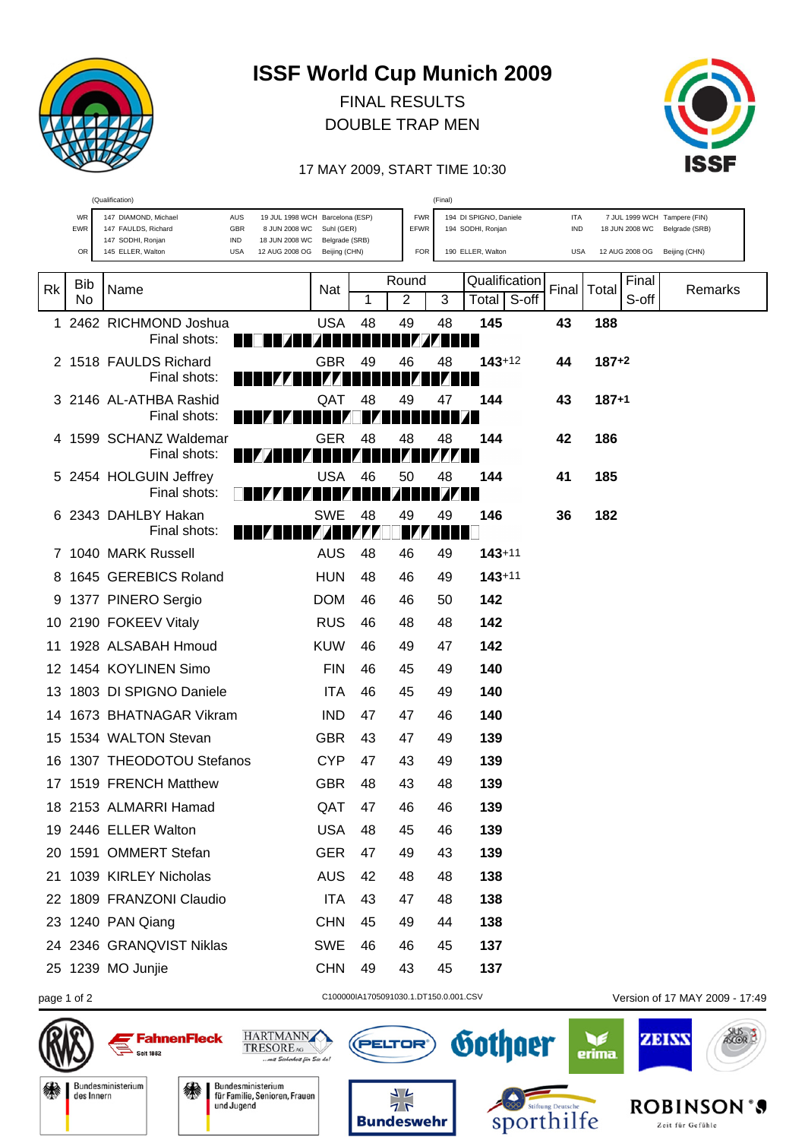

## **ISSF World Cup Munich 2009**

FINAL RESULTS DOUBLE TRAP MEN



## 17 MAY 2009, START TIME 10:30

| (Qualification)<br>(Final) |                                   |                                                                                                                               |                                 |    |                                                                   |                |                   |                   |               |                                                               |                                |  |
|----------------------------|-----------------------------------|-------------------------------------------------------------------------------------------------------------------------------|---------------------------------|----|-------------------------------------------------------------------|----------------|-------------------|-------------------|---------------|---------------------------------------------------------------|--------------------------------|--|
|                            | WR<br>147 DIAMOND, Michael<br>EWR | 19 JUL 1998 WCH Barcelona (ESP)<br>8 JUN 2008 WC<br>Suhl (GER)                                                                |                                 |    | 194 DI SPIGNO, Daniele<br><b>FWR</b><br>EFWR<br>194 SODHI, Ronjan |                |                   | <b>ITA</b><br>IND |               | 7 JUL 1999 WCH Tampere (FIN)<br>18 JUN 2008 WC Belgrade (SRB) |                                |  |
|                            | OR                                | 147 FAULDS, Richard<br>GBR<br>147 SODHI, Ronjan<br>IND<br>18 JUN 2008 WC<br>145 ELLER, Walton<br><b>USA</b><br>12 AUG 2008 OG | Belgrade (SRB)<br>Beijing (CHN) |    | <b>FOR</b>                                                        |                | 190 ELLER, Walton | <b>USA</b>        |               | 12 AUG 2008 OG Beijing (CHN)                                  |                                |  |
|                            |                                   |                                                                                                                               |                                 |    |                                                                   |                |                   |                   |               |                                                               |                                |  |
| <b>Rk</b>                  | <b>Bib</b>                        | Name                                                                                                                          | Nat                             |    | Round                                                             |                | Qualification     |                   | Final   Total | Final                                                         | Remarks                        |  |
|                            | No                                |                                                                                                                               |                                 | 1  | 2                                                                 | 3              | Total             | S-off             |               | S-off                                                         |                                |  |
| 1.                         |                                   | 2462 RICHMOND Joshua<br>Final shots:                                                                                          | <b>USA</b>                      | 48 | 49                                                                | 48             | 145<br>10         | 43                | 188           |                                                               |                                |  |
|                            |                                   | 2 1518 FAULDS Richard                                                                                                         | <b>GBR</b>                      | 49 | 46                                                                | 48             | $143 + 12$        | 44                | $187+2$       |                                                               |                                |  |
|                            |                                   | Final shots:                                                                                                                  |                                 |    |                                                                   |                |                   |                   |               |                                                               |                                |  |
|                            |                                   | 3 2146 AL-ATHBA Rashid                                                                                                        | QAT                             | 48 | 49                                                                | 47             | 144               | 43                | $187+1$       |                                                               |                                |  |
|                            |                                   | Final shots:                                                                                                                  |                                 | IZ |                                                                   |                |                   |                   |               |                                                               |                                |  |
|                            |                                   | 4 1599 SCHANZ Waldemar                                                                                                        | GER                             | 48 | 48                                                                | 48             | 144               | 42                | 186           |                                                               |                                |  |
|                            |                                   | Final shots:                                                                                                                  |                                 |    |                                                                   |                | ш                 |                   |               |                                                               |                                |  |
|                            |                                   | 5 2454 HOLGUIN Jeffrey<br>Final shots:                                                                                        | <b>USA</b>                      | 46 | 50                                                                | 48             | 144<br>H          | 41                | 185           |                                                               |                                |  |
|                            |                                   | 2343 DAHLBY Hakan                                                                                                             | <b>SWE</b>                      | 48 | 49                                                                | 49             | 146               | 36                | 182           |                                                               |                                |  |
|                            |                                   | Final shots:                                                                                                                  | <b>EZER E EZER</b>              |    | 174                                                               | a kata ing Pan |                   |                   |               |                                                               |                                |  |
|                            |                                   | 7 1040 MARK Russell                                                                                                           | <b>AUS</b>                      | 48 | 46                                                                | 49             | $143 + 11$        |                   |               |                                                               |                                |  |
| 8                          |                                   | 1645 GEREBICS Roland                                                                                                          | <b>HUN</b>                      | 48 | 46                                                                | 49             | $143 + 11$        |                   |               |                                                               |                                |  |
| 9                          |                                   | 1377 PINERO Sergio                                                                                                            | <b>DOM</b>                      | 46 | 46                                                                | 50             | 142               |                   |               |                                                               |                                |  |
|                            |                                   | 10 2190 FOKEEV Vitaly                                                                                                         | <b>RUS</b>                      | 46 | 48                                                                | 48             | 142               |                   |               |                                                               |                                |  |
| 11                         |                                   | 1928 ALSABAH Hmoud                                                                                                            | <b>KUW</b>                      | 46 | 49                                                                | 47             | 142               |                   |               |                                                               |                                |  |
| 12                         |                                   | 1454 KOYLINEN Simo                                                                                                            | <b>FIN</b>                      | 46 | 45                                                                | 49             | 140               |                   |               |                                                               |                                |  |
| 13                         |                                   | 1803 DI SPIGNO Daniele                                                                                                        | <b>ITA</b>                      | 46 | 45                                                                | 49             | 140               |                   |               |                                                               |                                |  |
| 14                         |                                   | 1673 BHATNAGAR Vikram                                                                                                         | <b>IND</b>                      | 47 | 47                                                                | 46             | 140               |                   |               |                                                               |                                |  |
| 15                         |                                   | 1534 WALTON Stevan                                                                                                            | <b>GBR</b>                      | 43 | 47                                                                | 49             | 139               |                   |               |                                                               |                                |  |
| 16                         |                                   | 1307 THEODOTOU Stefanos                                                                                                       | <b>CYP</b>                      | 47 | 43                                                                | 49             | 139               |                   |               |                                                               |                                |  |
|                            |                                   | 17 1519 FRENCH Matthew                                                                                                        | <b>GBR</b>                      | 48 | 43                                                                | 48             | 139               |                   |               |                                                               |                                |  |
|                            |                                   | 18 2153 ALMARRI Hamad                                                                                                         | QAT                             | 47 | 46                                                                | 46             | 139               |                   |               |                                                               |                                |  |
|                            |                                   | 19 2446 ELLER Walton                                                                                                          | <b>USA</b>                      | 48 | 45                                                                | 46             | 139               |                   |               |                                                               |                                |  |
|                            |                                   | 20 1591 OMMERT Stefan                                                                                                         | <b>GER</b>                      | 47 | 49                                                                | 43             | 139               |                   |               |                                                               |                                |  |
| 21                         |                                   | 1039 KIRLEY Nicholas                                                                                                          | <b>AUS</b>                      | 42 | 48                                                                | 48             | 138               |                   |               |                                                               |                                |  |
|                            |                                   | 22 1809 FRANZONI Claudio                                                                                                      | <b>ITA</b>                      | 43 | 47                                                                | 48             | 138               |                   |               |                                                               |                                |  |
|                            |                                   | 23 1240 PAN Qiang                                                                                                             | <b>CHN</b>                      | 45 | 49                                                                | 44             | 138               |                   |               |                                                               |                                |  |
|                            |                                   | 24 2346 GRANQVIST Niklas                                                                                                      | <b>SWE</b>                      | 46 | 46                                                                | 45             | 137               |                   |               |                                                               |                                |  |
|                            |                                   | 25 1239 MO Junjie                                                                                                             | <b>CHN</b>                      | 49 | 43                                                                | 45             | 137               |                   |               |                                                               |                                |  |
|                            |                                   |                                                                                                                               |                                 |    |                                                                   |                |                   |                   |               |                                                               |                                |  |
|                            | page 1 of 2                       |                                                                                                                               |                                 |    | C100000IA1705091030.1.DT150.0.001.CSV                             |                |                   |                   |               |                                                               | Version of 17 MAY 2009 - 17:49 |  |